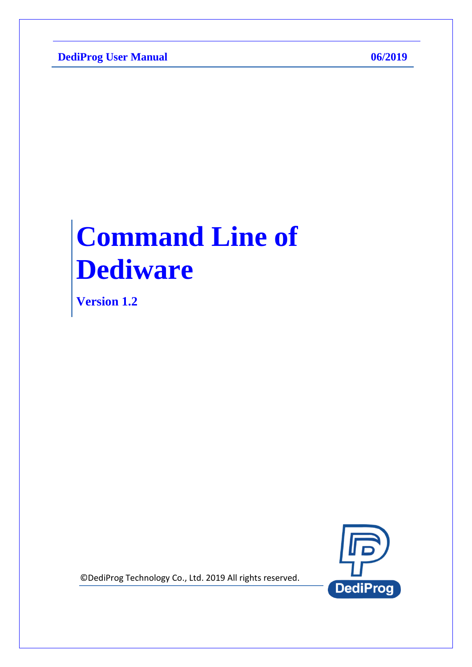**DediProg User Manual 06/2019** 

# **Command Line of Dediware**

**Version 1.2**



© DediProg Technology Co., Ltd. 2019 All rights reserved.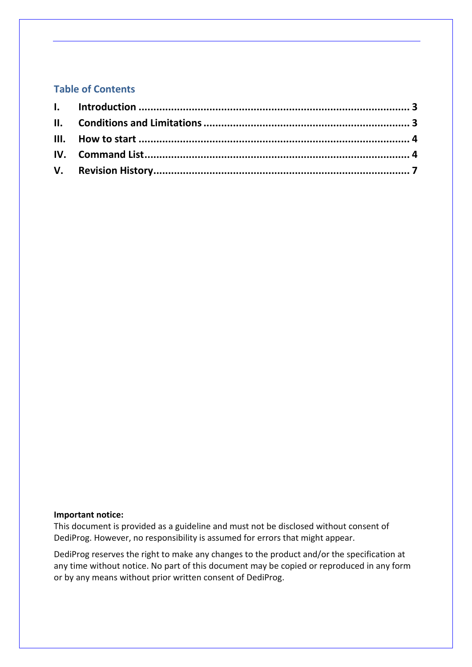#### **Table of Contents**

#### **Important notice:**

This document is provided as a guideline and must not be disclosed without consent of DediProg. However, no responsibility is assumed for errors that might appear.

DediProg reserves the right to make any changes to the product and/or the specification at any time without notice. No part of this document may be copied or reproduced in any form or by any means without prior written consent of DediProg.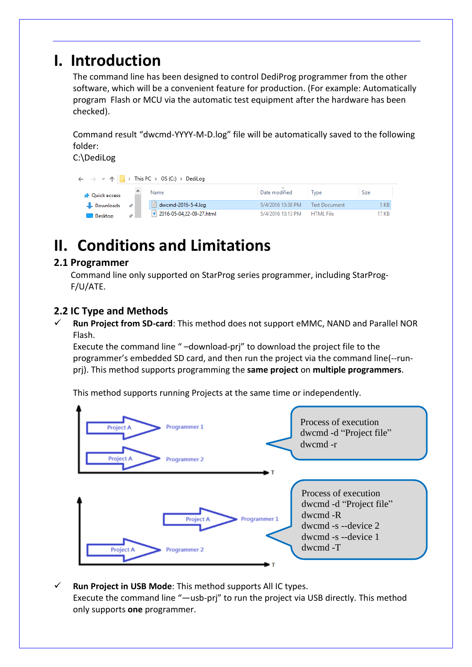### <span id="page-2-0"></span>**I. Introduction**

The command line has been designed to control DediProg programmer from the other software, which will be a convenient feature for production. (For example: Automatically program Flash or MCU via the automatic test equipment after the hardware has been checked).

Command result "dwcmd-YYYY-M-D.log" file will be automatically saved to the following folder:

C:\DediLog

| $\leftarrow$ $\rightarrow$ $\vee$ $\uparrow$ $\parallel$ $\rightarrow$ This PC $\rightarrow$ OS (C:) $\rightarrow$ DediLog |  |                             |                   |                      |             |
|----------------------------------------------------------------------------------------------------------------------------|--|-----------------------------|-------------------|----------------------|-------------|
| <b>A</b> Quick access                                                                                                      |  | Name                        | Date modified     | Type                 | <b>Size</b> |
| $\overline{\phantom{a}}$ Downloads $\overline{\phantom{a}}$                                                                |  | $\equiv$ dwcmd-2016-5-4.log | 5/4/2016 10:38 PM | <b>Text Document</b> | 5 KB        |
| Desktop                                                                                                                    |  | e 2016-05-04.22-09-27.html  | 5/4/2016 10:13 PM | <b>HTML</b> File     | 17 KB       |

### <span id="page-2-1"></span>**II. Conditions and Limitations**

### **2.1 Programmer**

Command line only supported on StarProg series programmer, including StarProg-F/U/ATE.

### **2.2 IC Type and Methods**

 **Run Project from SD-card**: This method does not support eMMC, NAND and Parallel NOR Flash.

Execute the command line " –download-prj" to download the project file to the programmer's embedded SD card, and then run the project via the command line(--runprj). This method supports programming the **same project** on **multiple programmers**.

This method supports running Projects at the same time or independently.



 **Run Project in USB Mode**: This method supports All IC types. Execute the command line "—usb-prj" to run the project via USB directly. This method only supports **one** programmer.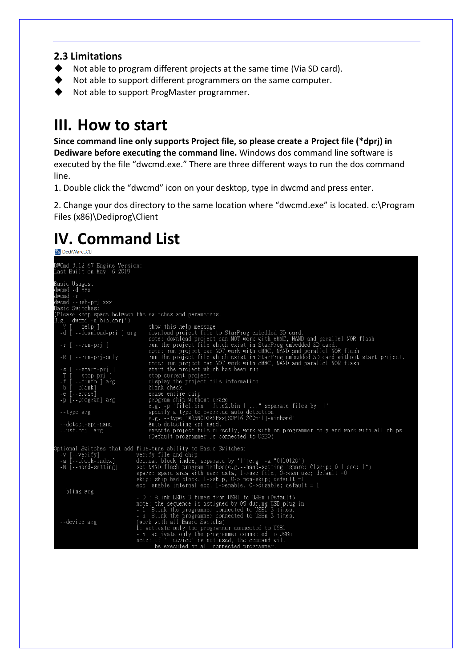#### **2.3 Limitations**

- ◆ Not able to program different projects at the same time (Via SD card).
- ◆ Not able to support different programmers on the same computer.
- ◆ Not able to support ProgMaster programmer.

### <span id="page-3-0"></span>**III. How to start**

**Since command line only supports Project file, so please create a Project file (\*dprj) in Dediware before executing the command line.** Windows dos command line software is executed by the file "dwcmd.exe." There are three different ways to run the dos command line.

1. Double click the "dwcmd" icon on your desktop, type in dwcmd and press enter.

2. Change your dos directory to the same location where "dwcmd.exe" is located. c:\Program Files (x86)\Dediprog\Client

# <span id="page-3-1"></span>**IV. Command List**

| DWCmd 3.12.67 Engine Version:<br>Last Built on May 6 2019        |                                                                                                                                                               |
|------------------------------------------------------------------|---------------------------------------------------------------------------------------------------------------------------------------------------------------|
| Basic Usages:<br>dwcmd -d xxx<br>dwcmd -r<br>dwcmd --usb-prj xxx |                                                                                                                                                               |
| Basic Switches:                                                  |                                                                                                                                                               |
|                                                                  | (Please keep space between the switches and parameters.                                                                                                       |
| E.g. 'dwcmd –u bio.dprj')                                        |                                                                                                                                                               |
| -? [ --help ]                                                    | show this help message                                                                                                                                        |
| -d [ --download-pri ] arg                                        | download project file to StarProg embedded SD card.<br>note: download project can NOT work with eMMC, NAND and parallel NOR flash                             |
| $-r$ [ $-run-prj$ ]                                              | run the project file which exist in StarProg embedded SD card.<br>note: run project can NOT work with eMMC, NAND and perallel NOR flash                       |
| $-R$ [ $-run-prj-only$ ]                                         | run the project file which exist in StarProg embedded SD card without start project.<br>note: run project can NOT work with eMMC, NAND and parallel NOR flash |
| -s [ --start-pri ]<br>-T [ --stop-prj ]                          | start the project which has been run.<br>stop current project.                                                                                                |
| -f [ --finfo ] arg                                               | display the project file information                                                                                                                          |
| -b [--blank]                                                     | blank check                                                                                                                                                   |
| -e [--erase]                                                     | erase entire chip                                                                                                                                             |
| -p [--program] arg                                               | program chip without erase                                                                                                                                    |
|                                                                  | e.g. -p "filel.bin   file2.bin   " separate files by ' '                                                                                                      |
| --type arg                                                       | specify a type to override auto detection<br>e.g. --type "W25N01GVSFxx[SOP16 300mil]-Winbond"                                                                 |
| --detect-spi-nand                                                | Auto detecting spi nand.                                                                                                                                      |
| --usb-pri arg                                                    | execute project file directly, work with on programmer only and work with all chips                                                                           |
|                                                                  | (Default programmer is connected to USBO)                                                                                                                     |
| -v [--verify]                                                    | Optional Switches that add fine-tune ability to Basic Switches:<br>verify file and chip                                                                       |
| -a [--block-index]                                               | decimal block index, separate by 'l'(e.g. -a "0110120")                                                                                                       |
| -N [--nand-setting]                                              | set NAND flash program method(e.g.--nand-setting "spare: Olskip: 0   ecc: 1")                                                                                 |
|                                                                  | spare: spare area with user data, $1$ ->use file, $0$ ->non use; default =0<br>skip: skip bad block, 1–>skip, 0–> non–skip; default =1                        |
|                                                                  | ecc: enable internal ecc, 1–>enable, 0–>disable; default = 1                                                                                                  |
| --blink arg                                                      |                                                                                                                                                               |
|                                                                  | - 0 : Blink LEDs 3 times from USB1 to USBn (Default)                                                                                                          |
|                                                                  | note: the sequence is assigned by OS during USB plug-in                                                                                                       |
|                                                                  | - 1: Blink the programmer connected to USB1 3 times.                                                                                                          |
|                                                                  | - n: Blink the programmer connected to USBn 3 times.                                                                                                          |
| --device arg                                                     | (work with all Basic Switchs)                                                                                                                                 |
|                                                                  | 1: activate only the programmer connected to USB1                                                                                                             |
|                                                                  | - n: activate only the programmer connected to USBn                                                                                                           |
|                                                                  | note: if '--device' is not used, the command will<br>he executed on all connected programmer                                                                  |
|                                                                  |                                                                                                                                                               |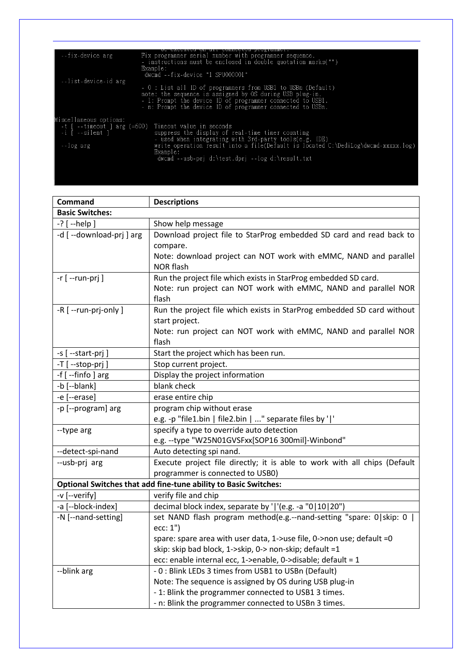| --fix-device arg                                       | Fix programmer serial number with programmer sequence.<br>- instructions must be enclosed in double quotation marks("")<br>Example:<br>dwcmd --fix-device "1 SPU000001"                                                                                                                                                 |
|--------------------------------------------------------|-------------------------------------------------------------------------------------------------------------------------------------------------------------------------------------------------------------------------------------------------------------------------------------------------------------------------|
| --list-device-id arg                                   | - 0 : List all ID of programmers from USB1 to USBn (Default)<br>note: the sequence is assigned by OS during USB plug-in.<br>- 1: Prompt the device ID of programmer connected to USB1.<br>- n: Prompt the device ID of programmer connected to USBn.                                                                    |
| Miscellaneous options:<br>-i [ --silent ]<br>--log arg | -t [ --timeout ] arg (=600) Timeout value in seconds<br>suppress the display of real-time timer counting<br>- used when integrating with 3rd-party tools(e.g. IDE)<br>write operation result into a file(Default is located C:\DediLog\dwcmd-xxxxx.log)<br>Example:<br>dwcmd --usb-pri d:\test.dpri --log d:\result.txt |

| Command                 | <b>Descriptions</b>                                                       |  |  |  |  |
|-------------------------|---------------------------------------------------------------------------|--|--|--|--|
| <b>Basic Switches:</b>  |                                                                           |  |  |  |  |
| -? [ --help ]           | Show help message                                                         |  |  |  |  |
| -d [--download-prj] arg | Download project file to StarProg embedded SD card and read back to       |  |  |  |  |
|                         | compare.                                                                  |  |  |  |  |
|                         | Note: download project can NOT work with eMMC, NAND and parallel          |  |  |  |  |
|                         | <b>NOR flash</b>                                                          |  |  |  |  |
| $-r$ [ --run-prj ]      | Run the project file which exists in StarProg embedded SD card.           |  |  |  |  |
|                         | Note: run project can NOT work with eMMC, NAND and parallel NOR           |  |  |  |  |
|                         | flash                                                                     |  |  |  |  |
| -R [ --run-prj-only ]   | Run the project file which exists in StarProg embedded SD card without    |  |  |  |  |
|                         | start project.                                                            |  |  |  |  |
|                         | Note: run project can NOT work with eMMC, NAND and parallel NOR           |  |  |  |  |
|                         | flash                                                                     |  |  |  |  |
| -s [ --start-prj ]      | Start the project which has been run.                                     |  |  |  |  |
| -T [ --stop-prj ]       | Stop current project.                                                     |  |  |  |  |
| -f [--finfo] arg        | Display the project information                                           |  |  |  |  |
| -b [--blank]            | blank check                                                               |  |  |  |  |
| -e [--erase]            | erase entire chip                                                         |  |  |  |  |
| -p [--program] arg      | program chip without erase                                                |  |  |  |  |
|                         | e.g. -p "file1.bin   file2.bin   " separate files by ' '                  |  |  |  |  |
| --type arg              | specify a type to override auto detection                                 |  |  |  |  |
|                         | e.g. -- type "W25N01GVSFxx[SOP16 300mil]-Winbond"                         |  |  |  |  |
| --detect-spi-nand       | Auto detecting spi nand.                                                  |  |  |  |  |
| --usb-prj arg           | Execute project file directly; it is able to work with all chips (Default |  |  |  |  |
|                         | programmer is connected to USB0)                                          |  |  |  |  |
|                         | Optional Switches that add fine-tune ability to Basic Switches:           |  |  |  |  |
| -v [--verify]           | verify file and chip                                                      |  |  |  |  |
| -a [--block-index]      | decimal block index, separate by ' '(e.g. -a "0 10 20")                   |  |  |  |  |
| -N [--nand-setting]     | set NAND flash program method(e.g.--nand-setting "spare: 0 skip: 0        |  |  |  |  |
|                         | ecc: 1")                                                                  |  |  |  |  |
|                         | spare: spare area with user data, 1->use file, 0->non use; default =0     |  |  |  |  |
|                         | skip: skip bad block, 1->skip, 0-> non-skip; default =1                   |  |  |  |  |
|                         | ecc: enable internal ecc, 1->enable, 0->disable; default = 1              |  |  |  |  |
| --blink arg             | - 0 : Blink LEDs 3 times from USB1 to USBn (Default)                      |  |  |  |  |
|                         | Note: The sequence is assigned by OS during USB plug-in                   |  |  |  |  |
|                         | - 1: Blink the programmer connected to USB1 3 times.                      |  |  |  |  |
|                         | - n: Blink the programmer connected to USBn 3 times.                      |  |  |  |  |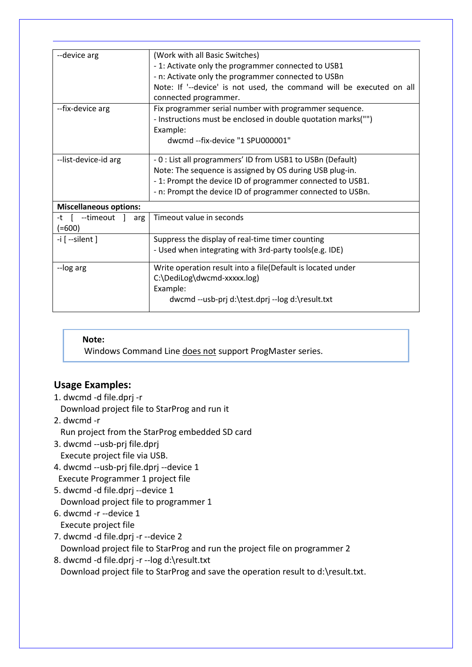| --device arg                  | (Work with all Basic Switches)                                       |
|-------------------------------|----------------------------------------------------------------------|
|                               | - 1: Activate only the programmer connected to USB1                  |
|                               | - n: Activate only the programmer connected to USBn                  |
|                               | Note: If '--device' is not used, the command will be executed on all |
|                               | connected programmer.                                                |
| --fix-device arg              | Fix programmer serial number with programmer sequence.               |
|                               | - Instructions must be enclosed in double quotation marks("")        |
|                               | Example:                                                             |
|                               | dwcmd --fix-device "1 SPU000001"                                     |
|                               |                                                                      |
| --list-device-id arg          | - 0 : List all programmers' ID from USB1 to USBn (Default)           |
|                               | Note: The sequence is assigned by OS during USB plug-in.             |
|                               | -1: Prompt the device ID of programmer connected to USB1.            |
|                               | - n: Prompt the device ID of programmer connected to USBn.           |
| <b>Miscellaneous options:</b> |                                                                      |
| -t [ --timeout<br>arg         | Timeout value in seconds                                             |
| $(=600)$                      |                                                                      |
| $-i$ [ --silent ]             | Suppress the display of real-time timer counting                     |
|                               | - Used when integrating with 3rd-party tools(e.g. IDE)               |
| --log arg                     | Write operation result into a file(Default is located under          |
|                               | C:\DediLog\dwcmd-xxxxx.log)                                          |
|                               | Example:                                                             |
|                               | dwcmd --usb-prj d:\test.dprj --log d:\result.txt                     |
|                               |                                                                      |

#### **Note:**

Windows Command Line does not support ProgMaster series.

### **Usage Examples:**

1. dwcmd -d file.dprj -r

Download project file to StarProg and run it

2. dwcmd -r

Run project from the StarProg embedded SD card

3. dwcmd --usb-prj file.dprj

Execute project file via USB.

- 4. dwcmd --usb-prj file.dprj --device 1 Execute Programmer 1 project file
- 5. dwcmd -d file.dprj --device 1 Download project file to programmer 1
- 6. dwcmd -r --device 1

Execute project file

7. dwcmd -d file.dprj -r --device 2

Download project file to StarProg and run the project file on programmer 2

8. dwcmd -d file.dprj -r --log d:\result.txt Download project file to StarProg and save the operation result to d:\result.txt.